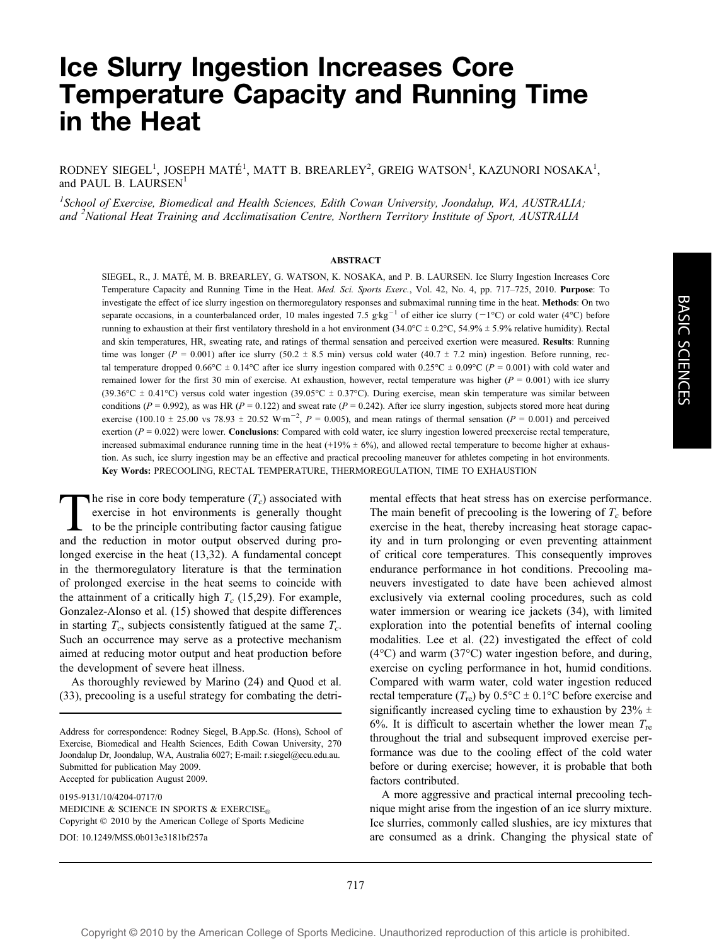# Ice Slurry Ingestion Increases Core Temperature Capacity and Running Time in the Heat

RODNEY SIEGEL<sup>1</sup>, JOSEPH MATÉ<sup>1</sup>, MATT B. BREARLEY<sup>2</sup>, GREIG WATSON<sup>1</sup>, KAZUNORI NOSAKA<sup>1</sup>, and PAUL B. LAURSEN<sup>1</sup>

<sup>1</sup>School of Exercise, Biomedical and Health Sciences, Edith Cowan University, Joondalup, WA, AUSTRALIA; and <sup>2</sup>National Heat Training and Acclimatisation Centre, Northern Territory Institute of Sport, AUSTRALIA

#### ABSTRACT

SIEGEL, R., J. MATÉ, M. B. BREARLEY, G. WATSON, K. NOSAKA, and P. B. LAURSEN. Ice Slurry Ingestion Increases Core Temperature Capacity and Running Time in the Heat. Med. Sci. Sports Exerc., Vol. 42, No. 4, pp. 717–725, 2010. Purpose: To investigate the effect of ice slurry ingestion on thermoregulatory responses and submaximal running time in the heat. Methods: On two separate occasions, in a counterbalanced order, 10 males ingested 7.5 g·kg<sup>-1</sup> of either ice slurry (-1°C) or cold water (4°C) before running to exhaustion at their first ventilatory threshold in a hot environment  $(34.0^{\circ}\text{C} \pm 0.2^{\circ}\text{C}, 54.9\% \pm 5.9\%$  relative humidity). Rectal and skin temperatures, HR, sweating rate, and ratings of thermal sensation and perceived exertion were measured. Results: Running time was longer ( $P = 0.001$ ) after ice slurry (50.2  $\pm$  8.5 min) versus cold water (40.7  $\pm$  7.2 min) ingestion. Before running, rectal temperature dropped  $0.66^{\circ}\text{C} \pm 0.14^{\circ}\text{C}$  after ice slurry ingestion compared with  $0.25^{\circ}\text{C} \pm 0.09^{\circ}\text{C}$  ( $P = 0.001$ ) with cold water and remained lower for the first 30 min of exercise. At exhaustion, however, rectal temperature was higher ( $P = 0.001$ ) with ice slurry (39.36°C  $\pm$  0.41°C) versus cold water ingestion (39.05°C  $\pm$  0.37°C). During exercise, mean skin temperature was similar between conditions ( $P = 0.992$ ), as was HR ( $P = 0.122$ ) and sweat rate ( $P = 0.242$ ). After ice slurry ingestion, subjects stored more heat during exercise (100.10  $\pm$  25.00 vs 78.93  $\pm$  20.52 W·m<sup>-2</sup>,  $P = 0.005$ ), and mean ratings of thermal sensation ( $P = 0.001$ ) and perceived exertion ( $P = 0.022$ ) were lower. **Conclusions**: Compared with cold water, ice slurry ingestion lowered preexercise rectal temperature, increased submaximal endurance running time in the heat  $(+19% \pm 6%)$ , and allowed rectal temperature to become higher at exhaustion. As such, ice slurry ingestion may be an effective and practical precooling maneuver for athletes competing in hot environments. Key Words: PRECOOLING, RECTAL TEMPERATURE, THERMOREGULATION, TIME TO EXHAUSTION

The rise in core body temperature  $(T_c)$  associated with exercise in hot environments is generally thought to be the principle contributing factor causing fatigue and the reduction in motor output observed during prolonged exercise in the heat (13,32). A fundamental concept in the thermoregulatory literature is that the termination of prolonged exercise in the heat seems to coincide with the attainment of a critically high  $T_c$  (15,29). For example, Gonzalez-Alonso et al. (15) showed that despite differences in starting  $T_c$ , subjects consistently fatigued at the same  $T_c$ . Such an occurrence may serve as a protective mechanism aimed at reducing motor output and heat production before the development of severe heat illness.

As thoroughly reviewed by Marino (24) and Quod et al. (33), precooling is a useful strategy for combating the detri-

Address for correspondence: Rodney Siegel, B.App.Sc. (Hons), School of Exercise, Biomedical and Health Sciences, Edith Cowan University, 270 Joondalup Dr, Joondalup, WA, Australia 6027; E-mail: r.siegel@ecu.edu.au. Submitted for publication May 2009. Accepted for publication August 2009.

0195-9131/10/4204-0717/0 MEDICINE & SCIENCE IN SPORTS & EXERCISE<sup>®</sup> Copyright  $@$  2010 by the American College of Sports Medicine DOI: 10.1249/MSS.0b013e3181bf257a

mental effects that heat stress has on exercise performance. The main benefit of precooling is the lowering of  $T_c$  before exercise in the heat, thereby increasing heat storage capacity and in turn prolonging or even preventing attainment of critical core temperatures. This consequently improves endurance performance in hot conditions. Precooling maneuvers investigated to date have been achieved almost exclusively via external cooling procedures, such as cold water immersion or wearing ice jackets (34), with limited exploration into the potential benefits of internal cooling modalities. Lee et al. (22) investigated the effect of cold  $(4^{\circ}C)$  and warm  $(37^{\circ}C)$  water ingestion before, and during, exercise on cycling performance in hot, humid conditions. Compared with warm water, cold water ingestion reduced rectal temperature  $(T_{\rm re})$  by  $0.5^{\circ}\text{C} \pm 0.1^{\circ}\text{C}$  before exercise and significantly increased cycling time to exhaustion by  $23\% \pm$ 6%. It is difficult to ascertain whether the lower mean  $T_{\text{re}}$ throughout the trial and subsequent improved exercise performance was due to the cooling effect of the cold water before or during exercise; however, it is probable that both factors contributed.

A more aggressive and practical internal precooling technique might arise from the ingestion of an ice slurry mixture. Ice slurries, commonly called slushies, are icy mixtures that are consumed as a drink. Changing the physical state of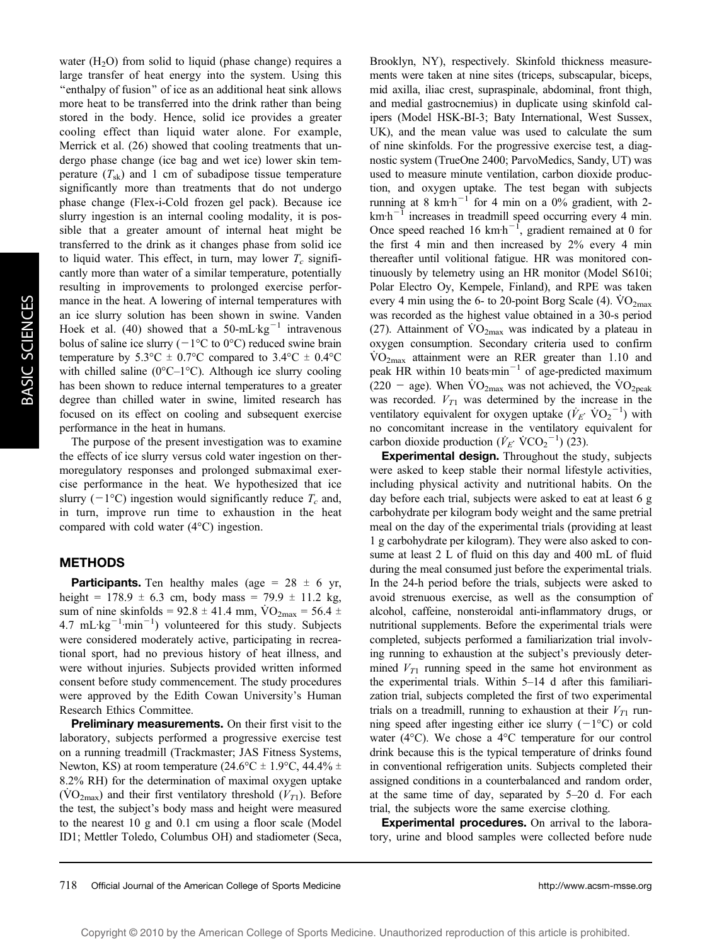water  $(H<sub>2</sub>O)$  from solid to liquid (phase change) requires a large transfer of heat energy into the system. Using this ''enthalpy of fusion'' of ice as an additional heat sink allows more heat to be transferred into the drink rather than being stored in the body. Hence, solid ice provides a greater cooling effect than liquid water alone. For example, Merrick et al. (26) showed that cooling treatments that undergo phase change (ice bag and wet ice) lower skin temperature  $(T_{sk})$  and 1 cm of subadipose tissue temperature significantly more than treatments that do not undergo phase change (Flex-i-Cold frozen gel pack). Because ice slurry ingestion is an internal cooling modality, it is possible that a greater amount of internal heat might be transferred to the drink as it changes phase from solid ice to liquid water. This effect, in turn, may lower  $T_c$  significantly more than water of a similar temperature, potentially resulting in improvements to prolonged exercise performance in the heat. A lowering of internal temperatures with an ice slurry solution has been shown in swine. Vanden Hoek et al. (40) showed that a 50-mL $kg^{-1}$  intravenous bolus of saline ice slurry ( $-1$ <sup>o</sup>C to 0<sup>o</sup>C) reduced swine brain temperature by  $5.3^{\circ}\text{C} \pm 0.7^{\circ}\text{C}$  compared to  $3.4^{\circ}\text{C} \pm 0.4^{\circ}\text{C}$ with chilled saline ( $0^{\circ}$ C–1 $^{\circ}$ C). Although ice slurry cooling has been shown to reduce internal temperatures to a greater degree than chilled water in swine, limited research has focused on its effect on cooling and subsequent exercise performance in the heat in humans.

The purpose of the present investigation was to examine the effects of ice slurry versus cold water ingestion on thermoregulatory responses and prolonged submaximal exercise performance in the heat. We hypothesized that ice slurry ( $-1$ °C) ingestion would significantly reduce  $T_c$  and, in turn, improve run time to exhaustion in the heat compared with cold water  $(4^{\circ}C)$  ingestion.

## METHODS

**Participants.** Ten healthy males (age =  $28 \pm 6$  yr, height =  $178.9 \pm 6.3$  cm, body mass =  $79.9 \pm 11.2$  kg, sum of nine skinfolds = 92.8  $\pm$  41.4 mm, VO<sub>2max</sub> = 56.4  $\pm$  $4.7 \text{ mL kg}^{-1} \cdot \text{min}^{-1}$ ) volunteered for this study. Subjects were considered moderately active, participating in recreational sport, had no previous history of heat illness, and were without injuries. Subjects provided written informed consent before study commencement. The study procedures were approved by the Edith Cowan University's Human Research Ethics Committee.

Preliminary measurements. On their first visit to the laboratory, subjects performed a progressive exercise test on a running treadmill (Trackmaster; JAS Fitness Systems, Newton, KS) at room temperature (24.6°C  $\pm$  1.9°C, 44.4%  $\pm$ 8.2% RH) for the determination of maximal oxygen uptake  $(\text{VO}_2)$  and their first ventilatory threshold  $(V_T)$ . Before the test, the subject's body mass and height were measured to the nearest 10 g and 0.1 cm using a floor scale (Model ID1; Mettler Toledo, Columbus OH) and stadiometer (Seca,

Brooklyn, NY), respectively. Skinfold thickness measurements were taken at nine sites (triceps, subscapular, biceps, mid axilla, iliac crest, supraspinale, abdominal, front thigh, and medial gastrocnemius) in duplicate using skinfold calipers (Model HSK-BI-3; Baty International, West Sussex, UK), and the mean value was used to calculate the sum of nine skinfolds. For the progressive exercise test, a diagnostic system (TrueOne 2400; ParvoMedics, Sandy, UT) was used to measure minute ventilation, carbon dioxide production, and oxygen uptake. The test began with subjects running at 8 km<sup>-1</sup> for 4 min on a 0% gradient, with 2 $km\cdot h^{-1}$  increases in treadmill speed occurring every 4 min. Once speed reached 16  $kmh^{-1}$ , gradient remained at 0 for the first 4 min and then increased by 2% every 4 min thereafter until volitional fatigue. HR was monitored continuously by telemetry using an HR monitor (Model S610i; Polar Electro Oy, Kempele, Finland), and RPE was taken every 4 min using the 6- to 20-point Borg Scale (4).  $\rm \dot{VO}_{2max}$ was recorded as the highest value obtained in a 30-s period (27). Attainment of  $\rm \dot{VO}_{2max}$  was indicated by a plateau in oxygen consumption. Secondary criteria used to confirm  $\rm \dot{VO}_{2max}$  attainment were an RER greater than 1.10 and peak HR within 10 beats $\text{min}^{-1}$  of age-predicted maximum (220 – age). When  $\rm \dot{VO}_{2max}$  was not achieved, the  $\rm \dot{VO}_{2peak}$ was recorded.  $V_{T1}$  was determined by the increase in the ventilatory equivalent for oxygen uptake  $(\dot{V}_E \cdot \text{VO}_2^{-1})$  with no concomitant increase in the ventilatory equivalent for carbon dioxide production  $(\dot{V}_E \cdot \text{VCO}_2^{-1})$  (23).

Experimental design. Throughout the study, subjects were asked to keep stable their normal lifestyle activities, including physical activity and nutritional habits. On the day before each trial, subjects were asked to eat at least 6 g carbohydrate per kilogram body weight and the same pretrial meal on the day of the experimental trials (providing at least 1 g carbohydrate per kilogram). They were also asked to consume at least 2 L of fluid on this day and 400 mL of fluid during the meal consumed just before the experimental trials. In the 24-h period before the trials, subjects were asked to avoid strenuous exercise, as well as the consumption of alcohol, caffeine, nonsteroidal anti-inflammatory drugs, or nutritional supplements. Before the experimental trials were completed, subjects performed a familiarization trial involving running to exhaustion at the subject's previously determined  $V_{T1}$  running speed in the same hot environment as the experimental trials. Within 5–14 d after this familiarization trial, subjects completed the first of two experimental trials on a treadmill, running to exhaustion at their  $V_{T1}$  running speed after ingesting either ice slurry  $(-1^{\circ}C)$  or cold water (4 $^{\circ}$ C). We chose a 4 $^{\circ}$ C temperature for our control drink because this is the typical temperature of drinks found in conventional refrigeration units. Subjects completed their assigned conditions in a counterbalanced and random order, at the same time of day, separated by 5–20 d. For each trial, the subjects wore the same exercise clothing.

Experimental procedures. On arrival to the laboratory, urine and blood samples were collected before nude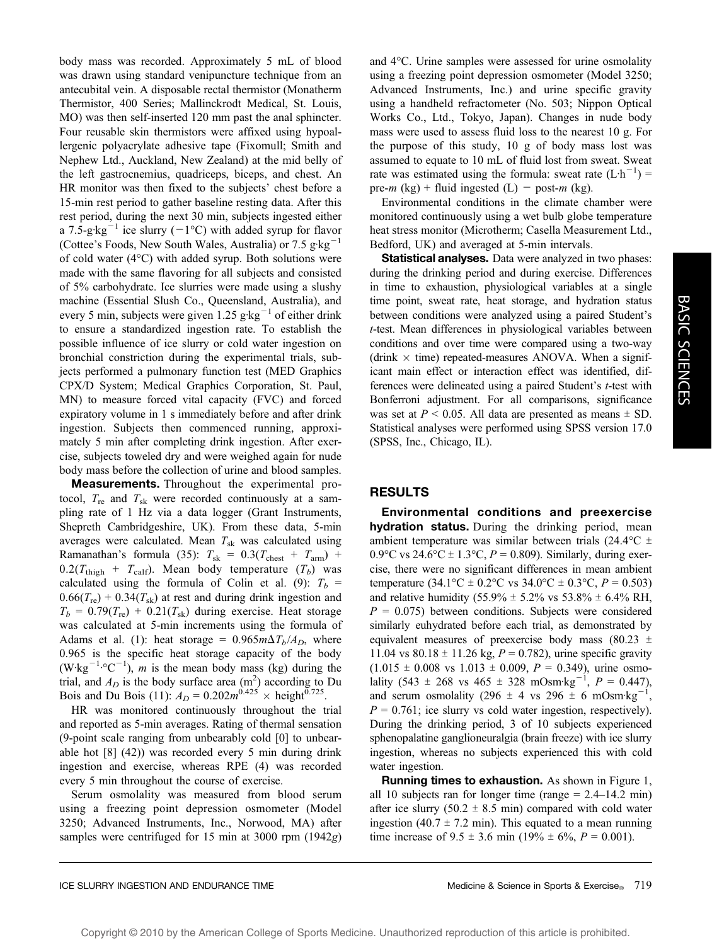body mass was recorded. Approximately 5 mL of blood was drawn using standard venipuncture technique from an antecubital vein. A disposable rectal thermistor (Monatherm Thermistor, 400 Series; Mallinckrodt Medical, St. Louis, MO) was then self-inserted 120 mm past the anal sphincter. Four reusable skin thermistors were affixed using hypoallergenic polyacrylate adhesive tape (Fixomull; Smith and Nephew Ltd., Auckland, New Zealand) at the mid belly of the left gastrocnemius, quadriceps, biceps, and chest. An HR monitor was then fixed to the subjects' chest before a 15-min rest period to gather baseline resting data. After this rest period, during the next 30 min, subjects ingested either a 7.5-g $kg^{-1}$  ice slurry (-1°C) with added syrup for flavor (Cottee's Foods, New South Wales, Australia) or  $7.5 \text{ g} \cdot \text{kg}^{-1}$ of cold water  $(4^{\circ}C)$  with added syrup. Both solutions were made with the same flavoring for all subjects and consisted of 5% carbohydrate. Ice slurries were made using a slushy machine (Essential Slush Co., Queensland, Australia), and every 5 min, subjects were given 1.25  $g \text{kg}^{-1}$  of either drink to ensure a standardized ingestion rate. To establish the possible influence of ice slurry or cold water ingestion on bronchial constriction during the experimental trials, subjects performed a pulmonary function test (MED Graphics CPX/D System; Medical Graphics Corporation, St. Paul, MN) to measure forced vital capacity (FVC) and forced expiratory volume in 1 s immediately before and after drink ingestion. Subjects then commenced running, approximately 5 min after completing drink ingestion. After exercise, subjects toweled dry and were weighed again for nude body mass before the collection of urine and blood samples.

Measurements. Throughout the experimental protocol,  $T_{\text{re}}$  and  $T_{\text{sk}}$  were recorded continuously at a sampling rate of 1 Hz via a data logger (Grant Instruments, Shepreth Cambridgeshire, UK). From these data, 5-min averages were calculated. Mean  $T_{sk}$  was calculated using Ramanathan's formula (35):  $T_{sk} = 0.3(T_{\text{check}} + T_{\text{arm}})$  +  $0.2(T_{\text{thigh}} + T_{\text{calf}})$ . Mean body temperature  $(T_b)$  was calculated using the formula of Colin et al. (9):  $T_b$  =  $0.66(T_{\text{re}})$  +  $0.34(T_{\text{sk}})$  at rest and during drink ingestion and  $T_b = 0.79(T_{\rm re}) + 0.21(T_{\rm sk})$  during exercise. Heat storage was calculated at 5-min increments using the formula of Adams et al. (1): heat storage =  $0.965m\Delta T_b/A_D$ , where 0.965 is the specific heat storage capacity of the body  $(W \text{ kg}^{-1} {}^{\circ}C^{-1})$ , *m* is the mean body mass (kg) during the trial, and  $A_D$  is the body surface area  $(m^2)$  according to Du Bois and Du Bois (11):  $A_D = 0.202 m^{0.425} \times \text{height}^{0.725}$ .

HR was monitored continuously throughout the trial and reported as 5-min averages. Rating of thermal sensation (9-point scale ranging from unbearably cold [0] to unbearable hot [8] (42)) was recorded every 5 min during drink ingestion and exercise, whereas RPE (4) was recorded every 5 min throughout the course of exercise.

Serum osmolality was measured from blood serum using a freezing point depression osmometer (Model 3250; Advanced Instruments, Inc., Norwood, MA) after samples were centrifuged for 15 min at 3000 rpm (1942g) and  $4^{\circ}$ C. Urine samples were assessed for urine osmolality using a freezing point depression osmometer (Model 3250; Advanced Instruments, Inc.) and urine specific gravity using a handheld refractometer (No. 503; Nippon Optical Works Co., Ltd., Tokyo, Japan). Changes in nude body mass were used to assess fluid loss to the nearest 10 g. For the purpose of this study, 10 g of body mass lost was assumed to equate to 10 mL of fluid lost from sweat. Sweat rate was estimated using the formula: sweat rate  $(L \cdot h^{-1})$  = pre-*m* (kg) + fluid ingested (L) - post-*m* (kg).

Environmental conditions in the climate chamber were monitored continuously using a wet bulb globe temperature heat stress monitor (Microtherm; Casella Measurement Ltd., Bedford, UK) and averaged at 5-min intervals.

Statistical analyses. Data were analyzed in two phases: during the drinking period and during exercise. Differences in time to exhaustion, physiological variables at a single time point, sweat rate, heat storage, and hydration status between conditions were analyzed using a paired Student's t-test. Mean differences in physiological variables between conditions and over time were compared using a two-way (drink  $\times$  time) repeated-measures ANOVA. When a significant main effect or interaction effect was identified, differences were delineated using a paired Student's *t*-test with Bonferroni adjustment. For all comparisons, significance was set at  $P < 0.05$ . All data are presented as means  $\pm$  SD. Statistical analyses were performed using SPSS version 17.0 (SPSS, Inc., Chicago, IL).

## RESULTS

Environmental conditions and preexercise hydration status. During the drinking period, mean ambient temperature was similar between trials (24.4 $\rm ^{\circ}C$   $\pm$ 0.9 $\rm{^{\circ}C}$  vs 24.6 $\rm{^{\circ}C}$  ± 1.3 $\rm{^{\circ}C}$ , P = 0.809). Similarly, during exercise, there were no significant differences in mean ambient temperature  $(34.1^{\circ}\text{C} \pm 0.2^{\circ}\text{C} \text{ vs } 34.0^{\circ}\text{C} \pm 0.3^{\circ}\text{C}, P = 0.503)$ and relative humidity  $(55.9\% \pm 5.2\% \text{ vs } 53.8\% \pm 6.4\% \text{ RH})$  $P = 0.075$ ) between conditions. Subjects were considered similarly euhydrated before each trial, as demonstrated by equivalent measures of preexercise body mass (80.23  $\pm$ 11.04 vs  $80.18 \pm 11.26$  kg,  $P = 0.782$ ), urine specific gravity  $(1.015 \pm 0.008 \text{ vs } 1.013 \pm 0.009, P = 0.349)$ , urine osmolality (543 ± 268 vs 465 ± 328 mOsm·kg<sup>-1</sup>,  $P = 0.447$ ), and serum osmolality (296  $\pm$  4 vs 296  $\pm$  6 mOsm·kg<sup>-1</sup>,  $P = 0.761$ ; ice slurry vs cold water ingestion, respectively). During the drinking period, 3 of 10 subjects experienced sphenopalatine ganglioneuralgia (brain freeze) with ice slurry ingestion, whereas no subjects experienced this with cold water ingestion.

Running times to exhaustion. As shown in Figure 1, all 10 subjects ran for longer time (range  $= 2.4 - 14.2$  min) after ice slurry (50.2  $\pm$  8.5 min) compared with cold water ingestion (40.7  $\pm$  7.2 min). This equated to a mean running time increase of  $9.5 \pm 3.6$  min (19%  $\pm 6\%$ ,  $P = 0.001$ ).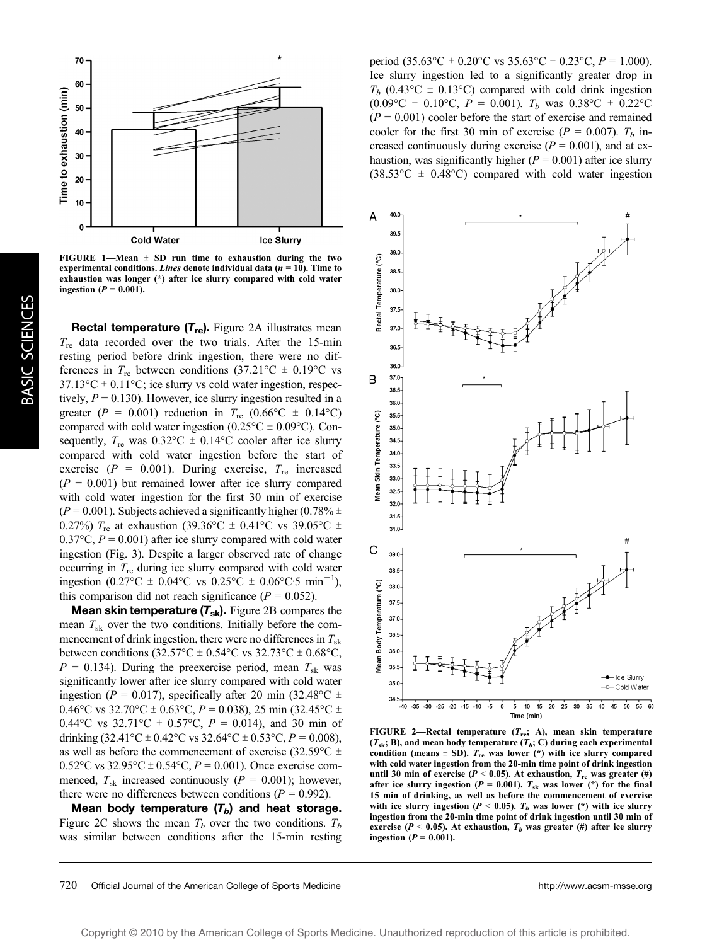

FIGURE 1-Mean  $\pm$  SD run time to exhaustion during the two experimental conditions. Lines denote individual data ( $n = 10$ ). Time to exhaustion was longer (\*) after ice slurry compared with cold water ingestion ( $P = 0.001$ ).

**Rectal temperature**  $(T_{\text{re}})$ **.** Figure 2A illustrates mean  $T_{\text{re}}$  data recorded over the two trials. After the 15-min resting period before drink ingestion, there were no differences in  $T_{\text{re}}$  between conditions (37.21°C  $\pm$  0.19°C vs  $37.13^{\circ}\text{C} \pm 0.11^{\circ}\text{C}$ ; ice slurry vs cold water ingestion, respectively,  $P = 0.130$ ). However, ice slurry ingestion resulted in a greater ( $P = 0.001$ ) reduction in  $T_{\text{re}}$  (0.66°C  $\pm$  0.14°C) compared with cold water ingestion ( $0.25^{\circ}$ C  $\pm$  0.09°C). Consequently,  $T_{\text{re}}$  was  $0.32^{\circ}\text{C} \pm 0.14^{\circ}\text{C}$  cooler after ice slurry compared with cold water ingestion before the start of exercise ( $P = 0.001$ ). During exercise,  $T_{\text{re}}$  increased  $(P = 0.001)$  but remained lower after ice slurry compared with cold water ingestion for the first 30 min of exercise  $(P = 0.001)$ . Subjects achieved a significantly higher (0.78%  $\pm$ 0.27%)  $T_{\text{re}}$  at exhaustion (39.36°C  $\pm$  0.41°C vs 39.05°C  $\pm$ 0.37 $\degree$ C,  $P = 0.001$ ) after ice slurry compared with cold water ingestion (Fig. 3). Despite a larger observed rate of change occurring in  $T_{\text{re}}$  during ice slurry compared with cold water ingestion  $(0.27^{\circ}\text{C} \pm 0.04^{\circ}\text{C} \text{ vs } 0.25^{\circ}\text{C} \pm 0.06^{\circ}\text{C} \cdot 5 \text{ min}^{-1})$ , this comparison did not reach significance ( $P = 0.052$ ).

**Mean skin temperature**  $(T_{sk})$ **.** Figure 2B compares the mean  $T_{sk}$  over the two conditions. Initially before the commencement of drink ingestion, there were no differences in  $T_{sk}$ between conditions (32.57 $^{\circ}$ C ± 0.54 $^{\circ}$ C vs 32.73 $^{\circ}$ C ± 0.68 $^{\circ}$ C,  $P = 0.134$ ). During the preexercise period, mean  $T_{sk}$  was significantly lower after ice slurry compared with cold water ingestion ( $P = 0.017$ ), specifically after 20 min (32.48°C  $\pm$ 0.46°C vs 32.70°C  $\pm$  0.63°C, P = 0.038), 25 min (32.45°C  $\pm$ 0.44°C vs 32.71°C  $\pm$  0.57°C,  $P = 0.014$ ), and 30 min of drinking  $(32.41^{\circ}C \pm 0.42^{\circ}C \text{ vs } 32.64^{\circ}C \pm 0.53^{\circ}C, P = 0.008)$ , as well as before the commencement of exercise (32.59 $\degree$ C  $\pm$  $0.52^{\circ}$ C vs  $32.95^{\circ}$ C ±  $0.54^{\circ}$ C,  $P = 0.001$ ). Once exercise commenced,  $T_{sk}$  increased continuously ( $P = 0.001$ ); however, there were no differences between conditions ( $P = 0.992$ ).

Mean body temperature  $(T_b)$  and heat storage. Figure 2C shows the mean  $T_b$  over the two conditions.  $T_b$ was similar between conditions after the 15-min resting

period  $(35.63^{\circ}\text{C} \pm 0.20^{\circ}\text{C} \text{ vs } 35.63^{\circ}\text{C} \pm 0.23^{\circ}\text{C}, P = 1.000)$ . Ice slurry ingestion led to a significantly greater drop in  $T_b$  (0.43°C  $\pm$  0.13°C) compared with cold drink ingestion  $(0.09^{\circ}\text{C} \pm 0.10^{\circ}\text{C}, P = 0.001)$ .  $T_b$  was  $0.38^{\circ}\text{C} \pm 0.22^{\circ}\text{C}$  $(P = 0.001)$  cooler before the start of exercise and remained cooler for the first 30 min of exercise ( $P = 0.007$ ).  $T<sub>b</sub>$  increased continuously during exercise ( $P = 0.001$ ), and at exhaustion, was significantly higher ( $P = 0.001$ ) after ice slurry  $(38.53^{\circ}\text{C} \pm 0.48^{\circ}\text{C})$  compared with cold water ingestion



FIGURE 2-Rectal temperature  $(T_{\text{re}}; A)$ , mean skin temperature  $(T_{sk}; B)$ , and mean body temperature  $(T_b; C)$  during each experimental condition (means  $\pm$  SD).  $T_{\text{re}}$  was lower (\*) with ice slurry compared with cold water ingestion from the 20-min time point of drink ingestion until 30 min of exercise ( $P < 0.05$ ). At exhaustion,  $T_{re}$  was greater (#) after ice slurry ingestion ( $P = 0.001$ ).  $T_{sk}$  was lower (\*) for the final 15 min of drinking, as well as before the commencement of exercise with ice slurry ingestion ( $P < 0.05$ ).  $T<sub>b</sub>$  was lower (\*) with ice slurry ingestion from the 20-min time point of drink ingestion until 30 min of exercise ( $P < 0.05$ ). At exhaustion,  $T_b$  was greater (#) after ice slurry ingestion  $(P = 0.001)$ .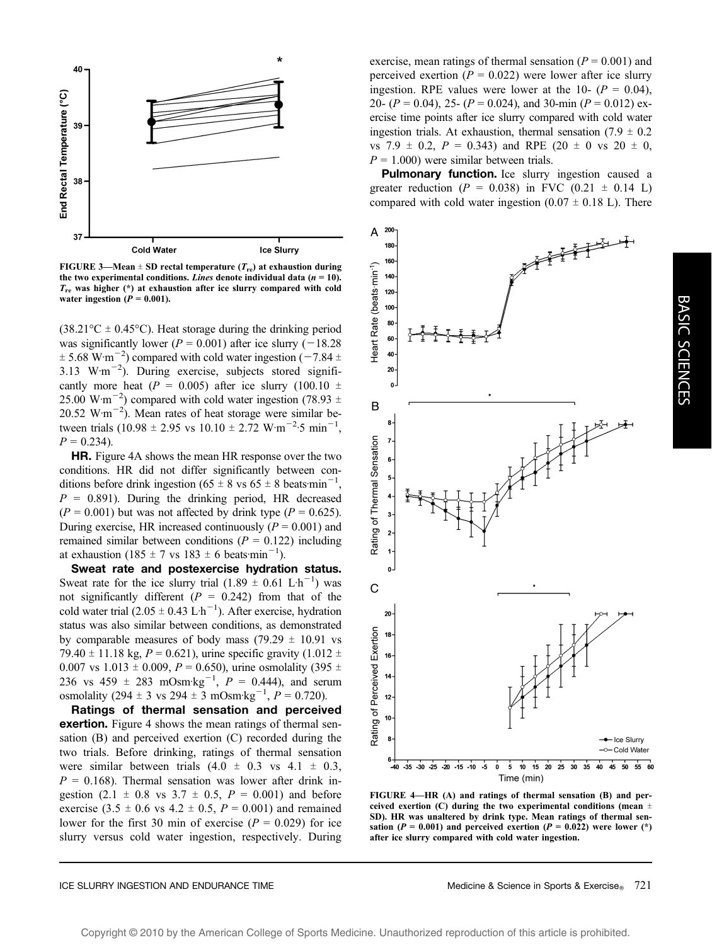

FIGURE 3—Mean  $\pm$  SD rectal temperature ( $T_{\text{re}}$ ) at exhaustion during the two experimental conditions. Lines denote individual data ( $n = 10$ ).  $T_{\text{re}}$  was higher (\*) at exhaustion after ice slurry compared with cold water ingestion  $(P = 0.001)$ .

 $(38.21\degree C \pm 0.45\degree C)$ . Heat storage during the drinking period was significantly lower ( $P = 0.001$ ) after ice slurry (-18.28)  $\pm$  5.68 W·m<sup>-2</sup>) compared with cold water ingestion (-7.84  $\pm$ 3.13  $W \cdot m^{-2}$ ). During exercise, subjects stored significantly more heat ( $P = 0.005$ ) after ice slurry (100.10  $\pm$ 25.00 W·m<sup>-2</sup>) compared with cold water ingestion (78.93  $\pm$ 20.52 W·m<sup> $-2$ </sup>). Mean rates of heat storage were similar between trials  $(10.98 \pm 2.95 \text{ vs } 10.10 \pm 2.72 \text{ W} \cdot \text{m}^{-2} \cdot 5 \text{ min}^{-1})$ ,  $P = 0.234$ ).

HR. Figure 4A shows the mean HR response over the two conditions. HR did not differ significantly between conditions before drink ingestion (65  $\pm$  8 vs 65  $\pm$  8 beats: min<sup>-1</sup>,  $P = 0.891$ ). During the drinking period, HR decreased  $(P = 0.001)$  but was not affected by drink type  $(P = 0.625)$ . During exercise, HR increased continuously ( $P = 0.001$ ) and remained similar between conditions ( $P = 0.122$ ) including at exhaustion  $(185 \pm 7 \text{ vs } 183 \pm 6 \text{ beats-min}^{-1})$ .

Sweat rate and postexercise hydration status. Sweat rate for the ice slurry trial  $(1.89 \pm 0.61 \text{ L} \cdot \text{h}^{-1})$  was not significantly different ( $P = 0.242$ ) from that of the cold water trial  $(2.05 \pm 0.43 \mathrm{L} \cdot \mathrm{h}^{-1})$ . After exercise, hydration status was also similar between conditions, as demonstrated by comparable measures of body mass (79.29  $\pm$  10.91 vs 79.40  $\pm$  11.18 kg,  $P = 0.621$ ), urine specific gravity (1.012  $\pm$ 0.007 vs 1.013  $\pm$  0.009, P = 0.650), urine osmolality (395  $\pm$ 236 vs 459  $\pm$  283 mOsm·kg<sup>-1</sup>,  $P = 0.444$ ), and serum osmolality (294  $\pm$  3 vs 294  $\pm$  3 mOsm·kg<sup>-1</sup>,  $P = 0.720$ ).

Ratings of thermal sensation and perceived exertion. Figure 4 shows the mean ratings of thermal sensation (B) and perceived exertion (C) recorded during the two trials. Before drinking, ratings of thermal sensation were similar between trials  $(4.0 \pm 0.3 \text{ vs } 4.1 \pm 0.3,$  $P = 0.168$ ). Thermal sensation was lower after drink ingestion (2.1  $\pm$  0.8 vs 3.7  $\pm$  0.5, P = 0.001) and before exercise (3.5  $\pm$  0.6 vs 4.2  $\pm$  0.5, P = 0.001) and remained lower for the first 30 min of exercise ( $P = 0.029$ ) for ice slurry versus cold water ingestion, respectively. During

exercise, mean ratings of thermal sensation ( $P = 0.001$ ) and perceived exertion ( $P = 0.022$ ) were lower after ice slurry ingestion. RPE values were lower at the 10-  $(P = 0.04)$ , 20-  $(P = 0.04)$ , 25-  $(P = 0.024)$ , and 30-min  $(P = 0.012)$  exercise time points after ice slurry compared with cold water ingestion trials. At exhaustion, thermal sensation  $(7.9 \pm 0.2)$ vs 7.9  $\pm$  0.2, P = 0.343) and RPE (20  $\pm$  0 vs 20  $\pm$  0,  $P = 1.000$ ) were similar between trials.

Pulmonary function. Ice slurry ingestion caused a greater reduction ( $P = 0.038$ ) in FVC (0.21  $\pm$  0.14 L) compared with cold water ingestion  $(0.07 \pm 0.18 \text{ L})$ . There



FIGURE 4—HR (A) and ratings of thermal sensation (B) and perceived exertion (C) during the two experimental conditions (mean  $\pm$ SD). HR was unaltered by drink type. Mean ratings of thermal sensation ( $P = 0.001$ ) and perceived exertion ( $P = 0.022$ ) were lower (\*) after ice slurry compared with cold water ingestion.

BASIC

SCIENCES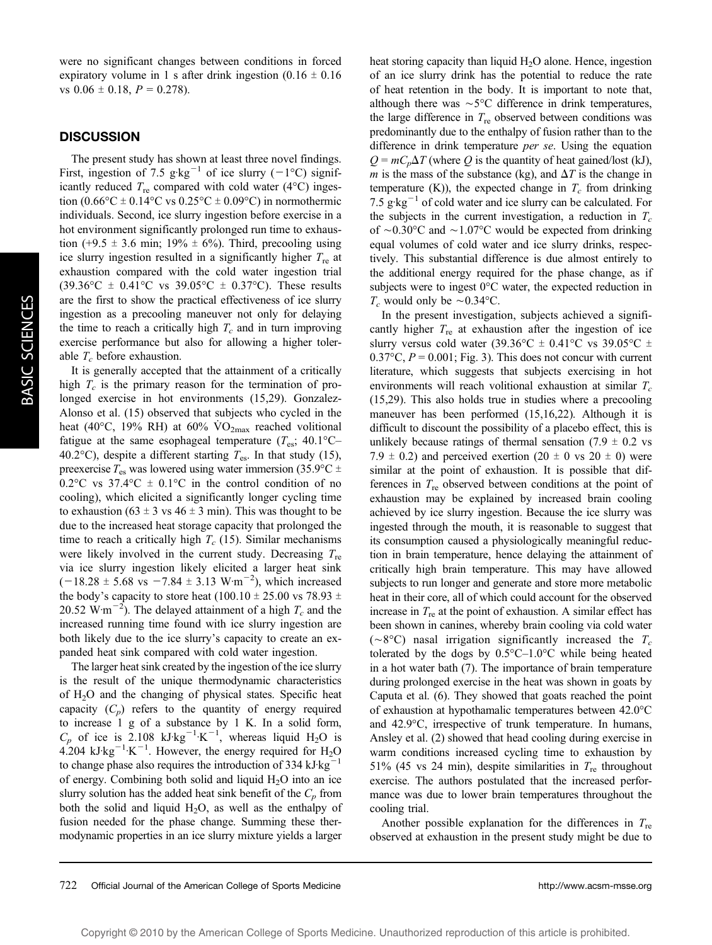were no significant changes between conditions in forced expiratory volume in 1 s after drink ingestion  $(0.16 \pm 0.16$ vs  $0.06 \pm 0.18$ ,  $P = 0.278$ ).

#### **DISCUSSION**

The present study has shown at least three novel findings. First, ingestion of 7.5 g·kg<sup>-1</sup> of ice slurry (-1<sup>o</sup>C) significantly reduced  $T_{\text{re}}$  compared with cold water (4°C) ingestion  $(0.66^{\circ}\text{C} \pm 0.14^{\circ}\text{C} \text{ vs } 0.25^{\circ}\text{C} \pm 0.09^{\circ}\text{C})$  in normothermic individuals. Second, ice slurry ingestion before exercise in a hot environment significantly prolonged run time to exhaustion (+9.5  $\pm$  3.6 min; 19%  $\pm$  6%). Third, precooling using ice slurry ingestion resulted in a significantly higher  $T_{\text{re}}$  at exhaustion compared with the cold water ingestion trial  $(39.36^{\circ}\text{C} \pm 0.41^{\circ}\text{C} \text{ vs } 39.05^{\circ}\text{C} \pm 0.37^{\circ}\text{C})$ . These results are the first to show the practical effectiveness of ice slurry ingestion as a precooling maneuver not only for delaying the time to reach a critically high  $T_c$  and in turn improving exercise performance but also for allowing a higher tolerable  $T_c$  before exhaustion.

It is generally accepted that the attainment of a critically high  $T_c$  is the primary reason for the termination of prolonged exercise in hot environments (15,29). Gonzalez-Alonso et al. (15) observed that subjects who cycled in the heat (40 $\degree$ C, 19% RH) at 60% VO<sub>2max</sub> reached volitional fatigue at the same esophageal temperature  $(T_{es}; 40.1^{\circ}C -$ 40.2°C), despite a different starting  $T_{\text{es}}$ . In that study (15), preexercise  $T_{\text{es}}$  was lowered using water immersion (35.9°C  $\pm$ 0.2 $\rm{^{\circ}C}$  vs 37.4 $\rm{^{\circ}C}$   $\pm$  0.1 $\rm{^{\circ}C}$  in the control condition of no cooling), which elicited a significantly longer cycling time to exhaustion (63  $\pm$  3 vs 46  $\pm$  3 min). This was thought to be due to the increased heat storage capacity that prolonged the time to reach a critically high  $T_c$  (15). Similar mechanisms were likely involved in the current study. Decreasing  $T_{\text{re}}$ via ice slurry ingestion likely elicited a larger heat sink  $(-18.28 \pm 5.68 \text{ vs } -7.84 \pm 3.13 \text{ W} \cdot \text{m}^{-2})$ , which increased the body's capacity to store heat (100.10  $\pm$  25.00 vs 78.93  $\pm$ 20.52  $\text{W}\cdot\text{m}^{-2}$ ). The delayed attainment of a high  $T_c$  and the increased running time found with ice slurry ingestion are both likely due to the ice slurry's capacity to create an expanded heat sink compared with cold water ingestion.

The larger heat sink created by the ingestion of the ice slurry is the result of the unique thermodynamic characteristics of H2O and the changing of physical states. Specific heat capacity  $(C_p)$  refers to the quantity of energy required to increase 1 g of a substance by 1 K. In a solid form,  $C_p$  of ice is 2.108 kJ·kg<sup>-1</sup>·K<sup>-1</sup>, whereas liquid H<sub>2</sub>O is  $4.204$  kJ·kg<sup>-1</sup>·K<sup>-1</sup>. However, the energy required for H<sub>2</sub>O to change phase also requires the introduction of 334 kJ·kg<sup>-1</sup> of energy. Combining both solid and liquid  $H_2O$  into an ice slurry solution has the added heat sink benefit of the  $C_p$  from both the solid and liquid  $H_2O$ , as well as the enthalpy of fusion needed for the phase change. Summing these thermodynamic properties in an ice slurry mixture yields a larger

heat storing capacity than liquid  $H_2O$  alone. Hence, ingestion of an ice slurry drink has the potential to reduce the rate of heat retention in the body. It is important to note that, although there was  $\sim$ 5 $\degree$ C difference in drink temperatures, the large difference in  $T_{\text{re}}$  observed between conditions was predominantly due to the enthalpy of fusion rather than to the difference in drink temperature *per se*. Using the equation  $Q = mC_p\Delta T$  (where Q is the quantity of heat gained/lost (kJ), m is the mass of the substance (kg), and  $\Delta T$  is the change in temperature (K)), the expected change in  $T_c$  from drinking 7.5  $g \text{kg}^{-1}$  of cold water and ice slurry can be calculated. For the subjects in the current investigation, a reduction in  $T_c$ of  $\sim 0.30^{\circ}$ C and  $\sim 1.07^{\circ}$ C would be expected from drinking equal volumes of cold water and ice slurry drinks, respectively. This substantial difference is due almost entirely to the additional energy required for the phase change, as if subjects were to ingest  $0^{\circ}$ C water, the expected reduction in  $T_c$  would only be  $\sim 0.34$ °C.

In the present investigation, subjects achieved a significantly higher  $T_{\text{re}}$  at exhaustion after the ingestion of ice slurry versus cold water (39.36 $\degree$ C  $\pm$  0.41 $\degree$ C vs 39.05 $\degree$ C  $\pm$  $0.37^{\circ}$ C,  $P = 0.001$ ; Fig. 3). This does not concur with current literature, which suggests that subjects exercising in hot environments will reach volitional exhaustion at similar  $T_c$ (15,29). This also holds true in studies where a precooling maneuver has been performed (15,16,22). Although it is difficult to discount the possibility of a placebo effect, this is unlikely because ratings of thermal sensation  $(7.9 \pm 0.2 \text{ vs } 10^{-12})$ 7.9  $\pm$  0.2) and perceived exertion (20  $\pm$  0 vs 20  $\pm$  0) were similar at the point of exhaustion. It is possible that differences in  $T_{\text{re}}$  observed between conditions at the point of exhaustion may be explained by increased brain cooling achieved by ice slurry ingestion. Because the ice slurry was ingested through the mouth, it is reasonable to suggest that its consumption caused a physiologically meaningful reduction in brain temperature, hence delaying the attainment of critically high brain temperature. This may have allowed subjects to run longer and generate and store more metabolic heat in their core, all of which could account for the observed increase in  $T_{\text{re}}$  at the point of exhaustion. A similar effect has been shown in canines, whereby brain cooling via cold water ( $\sim$ 8°C) nasal irrigation significantly increased the  $T_c$ tolerated by the dogs by  $0.5^{\circ}$ C–1.0 $^{\circ}$ C while being heated in a hot water bath (7). The importance of brain temperature during prolonged exercise in the heat was shown in goats by Caputa et al. (6). They showed that goats reached the point of exhaustion at hypothamalic temperatures between 42.0°C and 42.9°C, irrespective of trunk temperature. In humans, Ansley et al. (2) showed that head cooling during exercise in warm conditions increased cycling time to exhaustion by 51% (45 vs 24 min), despite similarities in  $T_{\text{re}}$  throughout exercise. The authors postulated that the increased performance was due to lower brain temperatures throughout the cooling trial.

Another possible explanation for the differences in  $T_{\text{re}}$ observed at exhaustion in the present study might be due to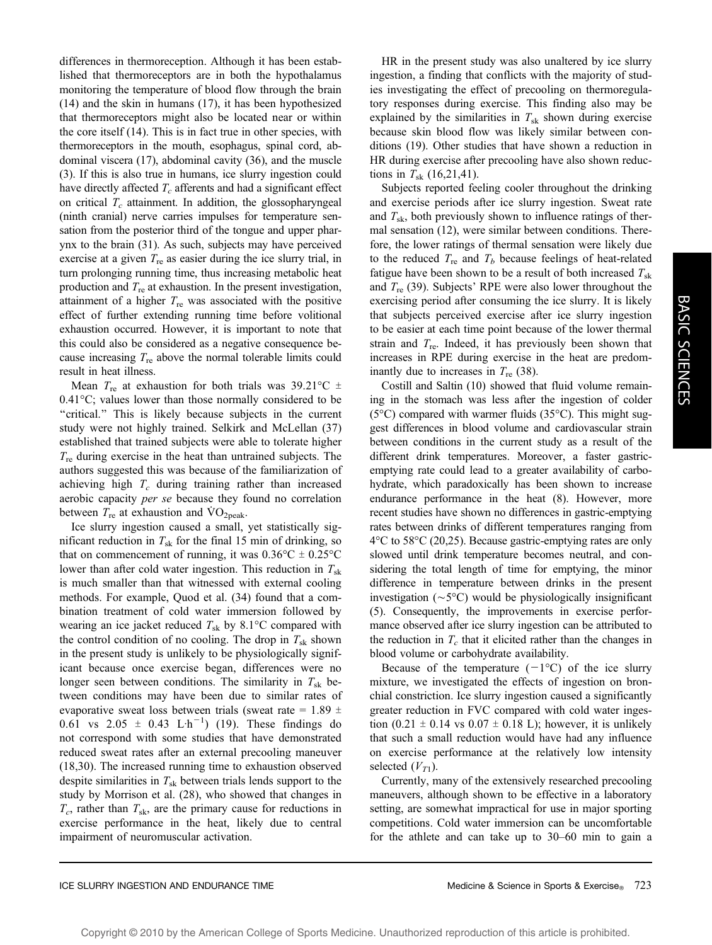differences in thermoreception. Although it has been established that thermoreceptors are in both the hypothalamus monitoring the temperature of blood flow through the brain (14) and the skin in humans (17), it has been hypothesized that thermoreceptors might also be located near or within the core itself (14). This is in fact true in other species, with thermoreceptors in the mouth, esophagus, spinal cord, abdominal viscera (17), abdominal cavity (36), and the muscle (3). If this is also true in humans, ice slurry ingestion could have directly affected  $T_c$  afferents and had a significant effect on critical  $T_c$  attainment. In addition, the glossopharyngeal (ninth cranial) nerve carries impulses for temperature sensation from the posterior third of the tongue and upper pharynx to the brain (31). As such, subjects may have perceived exercise at a given  $T_{\text{re}}$  as easier during the ice slurry trial, in turn prolonging running time, thus increasing metabolic heat production and  $T_{\text{re}}$  at exhaustion. In the present investigation, attainment of a higher  $T_{\text{re}}$  was associated with the positive effect of further extending running time before volitional exhaustion occurred. However, it is important to note that this could also be considered as a negative consequence because increasing  $T_{\text{re}}$  above the normal tolerable limits could result in heat illness.

Mean  $T_{\text{re}}$  at exhaustion for both trials was 39.21 °C  $\pm$  $0.41^{\circ}$ C; values lower than those normally considered to be "critical." This is likely because subjects in the current study were not highly trained. Selkirk and McLellan (37) established that trained subjects were able to tolerate higher  $T_{\text{re}}$  during exercise in the heat than untrained subjects. The authors suggested this was because of the familiarization of achieving high  $T_c$  during training rather than increased aerobic capacity per se because they found no correlation between  $T_{\text{re}}$  at exhaustion and  $\text{VO}_{\text{2peak}}$ .

Ice slurry ingestion caused a small, yet statistically significant reduction in  $T_{sk}$  for the final 15 min of drinking, so that on commencement of running, it was  $0.36^{\circ}\text{C} \pm 0.25^{\circ}\text{C}$ lower than after cold water ingestion. This reduction in  $T_{sk}$ is much smaller than that witnessed with external cooling methods. For example, Quod et al. (34) found that a combination treatment of cold water immersion followed by wearing an ice jacket reduced  $T_{sk}$  by 8.1°C compared with the control condition of no cooling. The drop in  $T_{sk}$  shown in the present study is unlikely to be physiologically significant because once exercise began, differences were no longer seen between conditions. The similarity in  $T_{sk}$  between conditions may have been due to similar rates of evaporative sweat loss between trials (sweat rate =  $1.89 \pm$  $0.61$  vs  $2.05 \pm 0.43$  L·h<sup>-1</sup>) (19). These findings do not correspond with some studies that have demonstrated reduced sweat rates after an external precooling maneuver (18,30). The increased running time to exhaustion observed despite similarities in  $T_{sk}$  between trials lends support to the study by Morrison et al. (28), who showed that changes in  $T_c$ , rather than  $T_{sk}$ , are the primary cause for reductions in exercise performance in the heat, likely due to central impairment of neuromuscular activation.

HR in the present study was also unaltered by ice slurry ingestion, a finding that conflicts with the majority of studies investigating the effect of precooling on thermoregulatory responses during exercise. This finding also may be explained by the similarities in  $T_{sk}$  shown during exercise because skin blood flow was likely similar between conditions (19). Other studies that have shown a reduction in HR during exercise after precooling have also shown reductions in  $T_{sk}$  (16,21,41).

Subjects reported feeling cooler throughout the drinking and exercise periods after ice slurry ingestion. Sweat rate and  $T_{sk}$ , both previously shown to influence ratings of thermal sensation (12), were similar between conditions. Therefore, the lower ratings of thermal sensation were likely due to the reduced  $T_{\text{re}}$  and  $T_b$  because feelings of heat-related fatigue have been shown to be a result of both increased  $T_{sk}$ and  $T_{\text{re}}$  (39). Subjects' RPE were also lower throughout the exercising period after consuming the ice slurry. It is likely that subjects perceived exercise after ice slurry ingestion to be easier at each time point because of the lower thermal strain and  $T_{\text{re}}$ . Indeed, it has previously been shown that increases in RPE during exercise in the heat are predominantly due to increases in  $T_{\text{re}}$  (38).

Costill and Saltin (10) showed that fluid volume remaining in the stomach was less after the ingestion of colder ( $5^{\circ}$ C) compared with warmer fluids ( $35^{\circ}$ C). This might suggest differences in blood volume and cardiovascular strain between conditions in the current study as a result of the different drink temperatures. Moreover, a faster gastricemptying rate could lead to a greater availability of carbohydrate, which paradoxically has been shown to increase endurance performance in the heat (8). However, more recent studies have shown no differences in gastric-emptying rates between drinks of different temperatures ranging from  $4^{\circ}$ C to 58 $^{\circ}$ C (20,25). Because gastric-emptying rates are only slowed until drink temperature becomes neutral, and considering the total length of time for emptying, the minor difference in temperature between drinks in the present investigation  $(\sim 5^{\circ}C)$  would be physiologically insignificant (5). Consequently, the improvements in exercise performance observed after ice slurry ingestion can be attributed to the reduction in  $T_c$  that it elicited rather than the changes in blood volume or carbohydrate availability.

Because of the temperature  $(-1^{\circ}C)$  of the ice slurry mixture, we investigated the effects of ingestion on bronchial constriction. Ice slurry ingestion caused a significantly greater reduction in FVC compared with cold water ingestion  $(0.21 \pm 0.14 \text{ vs } 0.07 \pm 0.18 \text{ L})$ ; however, it is unlikely that such a small reduction would have had any influence on exercise performance at the relatively low intensity selected  $(V_{T1})$ .

Currently, many of the extensively researched precooling maneuvers, although shown to be effective in a laboratory setting, are somewhat impractical for use in major sporting competitions. Cold water immersion can be uncomfortable for the athlete and can take up to 30–60 min to gain a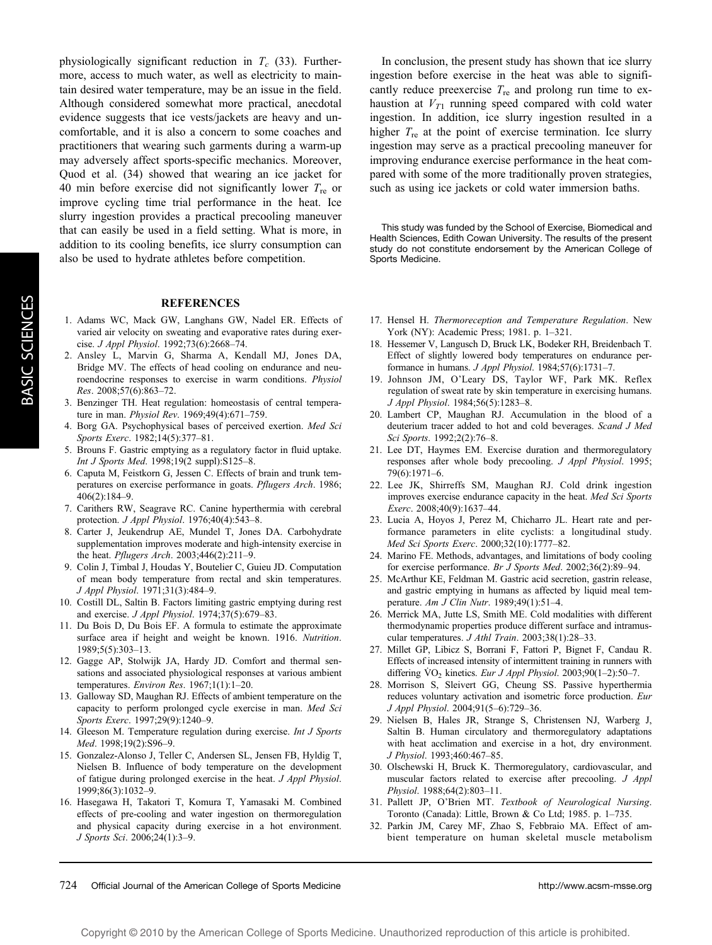physiologically significant reduction in  $T_c$  (33). Furthermore, access to much water, as well as electricity to maintain desired water temperature, may be an issue in the field. Although considered somewhat more practical, anecdotal evidence suggests that ice vests/jackets are heavy and uncomfortable, and it is also a concern to some coaches and practitioners that wearing such garments during a warm-up may adversely affect sports-specific mechanics. Moreover, Quod et al. (34) showed that wearing an ice jacket for 40 min before exercise did not significantly lower  $T_{\text{re}}$  or improve cycling time trial performance in the heat. Ice slurry ingestion provides a practical precooling maneuver that can easily be used in a field setting. What is more, in addition to its cooling benefits, ice slurry consumption can also be used to hydrate athletes before competition.

#### **REFERENCES**

- 1. Adams WC, Mack GW, Langhans GW, Nadel ER. Effects of varied air velocity on sweating and evaporative rates during exercise. J Appl Physiol. 1992;73(6):2668–74.
- 2. Ansley L, Marvin G, Sharma A, Kendall MJ, Jones DA, Bridge MV. The effects of head cooling on endurance and neuroendocrine responses to exercise in warm conditions. Physiol Res. 2008;57(6):863–72.
- 3. Benzinger TH. Heat regulation: homeostasis of central temperature in man. Physiol Rev. 1969;49(4):671–759.
- 4. Borg GA. Psychophysical bases of perceived exertion. Med Sci Sports Exerc. 1982;14(5):377–81.
- 5. Brouns F. Gastric emptying as a regulatory factor in fluid uptake. Int J Sports Med. 1998;19(2 suppl):S125–8.
- 6. Caputa M, Feistkorn G, Jessen C. Effects of brain and trunk temperatures on exercise performance in goats. Pflugers Arch. 1986; 406(2):184–9.
- 7. Carithers RW, Seagrave RC. Canine hyperthermia with cerebral protection. J Appl Physiol. 1976;40(4):543–8.
- 8. Carter J, Jeukendrup AE, Mundel T, Jones DA. Carbohydrate supplementation improves moderate and high-intensity exercise in the heat. Pflugers Arch. 2003;446(2):211–9.
- 9. Colin J, Timbal J, Houdas Y, Boutelier C, Guieu JD. Computation of mean body temperature from rectal and skin temperatures. J Appl Physiol. 1971;31(3):484–9.
- 10. Costill DL, Saltin B. Factors limiting gastric emptying during rest and exercise. J Appl Physiol. 1974;37(5):679–83.
- 11. Du Bois D, Du Bois EF. A formula to estimate the approximate surface area if height and weight be known. 1916. Nutrition. 1989;5(5):303–13.
- 12. Gagge AP, Stolwijk JA, Hardy JD. Comfort and thermal sensations and associated physiological responses at various ambient temperatures. Environ Res. 1967;1(1):1-20.
- 13. Galloway SD, Maughan RJ. Effects of ambient temperature on the capacity to perform prolonged cycle exercise in man. Med Sci Sports Exerc. 1997;29(9):1240–9.
- 14. Gleeson M. Temperature regulation during exercise. Int J Sports Med. 1998;19(2):S96–9.
- 15. Gonzalez-Alonso J, Teller C, Andersen SL, Jensen FB, Hyldig T, Nielsen B. Influence of body temperature on the development of fatigue during prolonged exercise in the heat. J Appl Physiol. 1999;86(3):1032–9.
- 16. Hasegawa H, Takatori T, Komura T, Yamasaki M. Combined effects of pre-cooling and water ingestion on thermoregulation and physical capacity during exercise in a hot environment. J Sports Sci. 2006;24(1):3–9.

In conclusion, the present study has shown that ice slurry ingestion before exercise in the heat was able to significantly reduce preexercise  $T_{\text{re}}$  and prolong run time to exhaustion at  $V_{T1}$  running speed compared with cold water ingestion. In addition, ice slurry ingestion resulted in a higher  $T_{\text{re}}$  at the point of exercise termination. Ice slurry ingestion may serve as a practical precooling maneuver for improving endurance exercise performance in the heat compared with some of the more traditionally proven strategies, such as using ice jackets or cold water immersion baths.

This study was funded by the School of Exercise, Biomedical and Health Sciences, Edith Cowan University. The results of the present study do not constitute endorsement by the American College of Sports Medicine.

- 17. Hensel H. Thermoreception and Temperature Regulation. New York (NY): Academic Press; 1981. p. 1–321.
- 18. Hessemer V, Langusch D, Bruck LK, Bodeker RH, Breidenbach T. Effect of slightly lowered body temperatures on endurance performance in humans. J Appl Physiol. 1984;57(6):1731–7.
- 19. Johnson JM, O'Leary DS, Taylor WF, Park MK. Reflex regulation of sweat rate by skin temperature in exercising humans. J Appl Physiol. 1984;56(5):1283–8.
- 20. Lambert CP, Maughan RJ. Accumulation in the blood of a deuterium tracer added to hot and cold beverages. Scand J Med Sci Sports. 1992;2(2):76–8.
- 21. Lee DT, Haymes EM. Exercise duration and thermoregulatory responses after whole body precooling. J Appl Physiol. 1995; 79(6):1971–6.
- 22. Lee JK, Shirreffs SM, Maughan RJ. Cold drink ingestion improves exercise endurance capacity in the heat. Med Sci Sports Exerc. 2008;40(9):1637–44.
- 23. Lucia A, Hoyos J, Perez M, Chicharro JL. Heart rate and performance parameters in elite cyclists: a longitudinal study. Med Sci Sports Exerc. 2000;32(10):1777–82.
- 24. Marino FE. Methods, advantages, and limitations of body cooling for exercise performance. Br J Sports Med. 2002;36(2):89–94.
- 25. McArthur KE, Feldman M. Gastric acid secretion, gastrin release, and gastric emptying in humans as affected by liquid meal temperature. Am J Clin Nutr. 1989;49(1):51-4.
- 26. Merrick MA, Jutte LS, Smith ME. Cold modalities with different thermodynamic properties produce different surface and intramuscular temperatures. J Athl Train. 2003;38(1):28–33.
- 27. Millet GP, Libicz S, Borrani F, Fattori P, Bignet F, Candau R. Effects of increased intensity of intermittent training in runners with differing  $\text{VO}_2$  kinetics. Eur J Appl Physiol. 2003;90(1–2):50–7.
- 28. Morrison S, Sleivert GG, Cheung SS. Passive hyperthermia reduces voluntary activation and isometric force production. Eur J Appl Physiol. 2004;91(5–6):729–36.
- 29. Nielsen B, Hales JR, Strange S, Christensen NJ, Warberg J, Saltin B. Human circulatory and thermoregulatory adaptations with heat acclimation and exercise in a hot, dry environment. J Physiol. 1993;460:467–85.
- 30. Olschewski H, Bruck K. Thermoregulatory, cardiovascular, and muscular factors related to exercise after precooling. J Appl Physiol. 1988;64(2):803–11.
- 31. Pallett JP, O'Brien MT. Textbook of Neurological Nursing. Toronto (Canada): Little, Brown & Co Ltd; 1985. p. 1–735.
- 32. Parkin JM, Carey MF, Zhao S, Febbraio MA. Effect of ambient temperature on human skeletal muscle metabolism